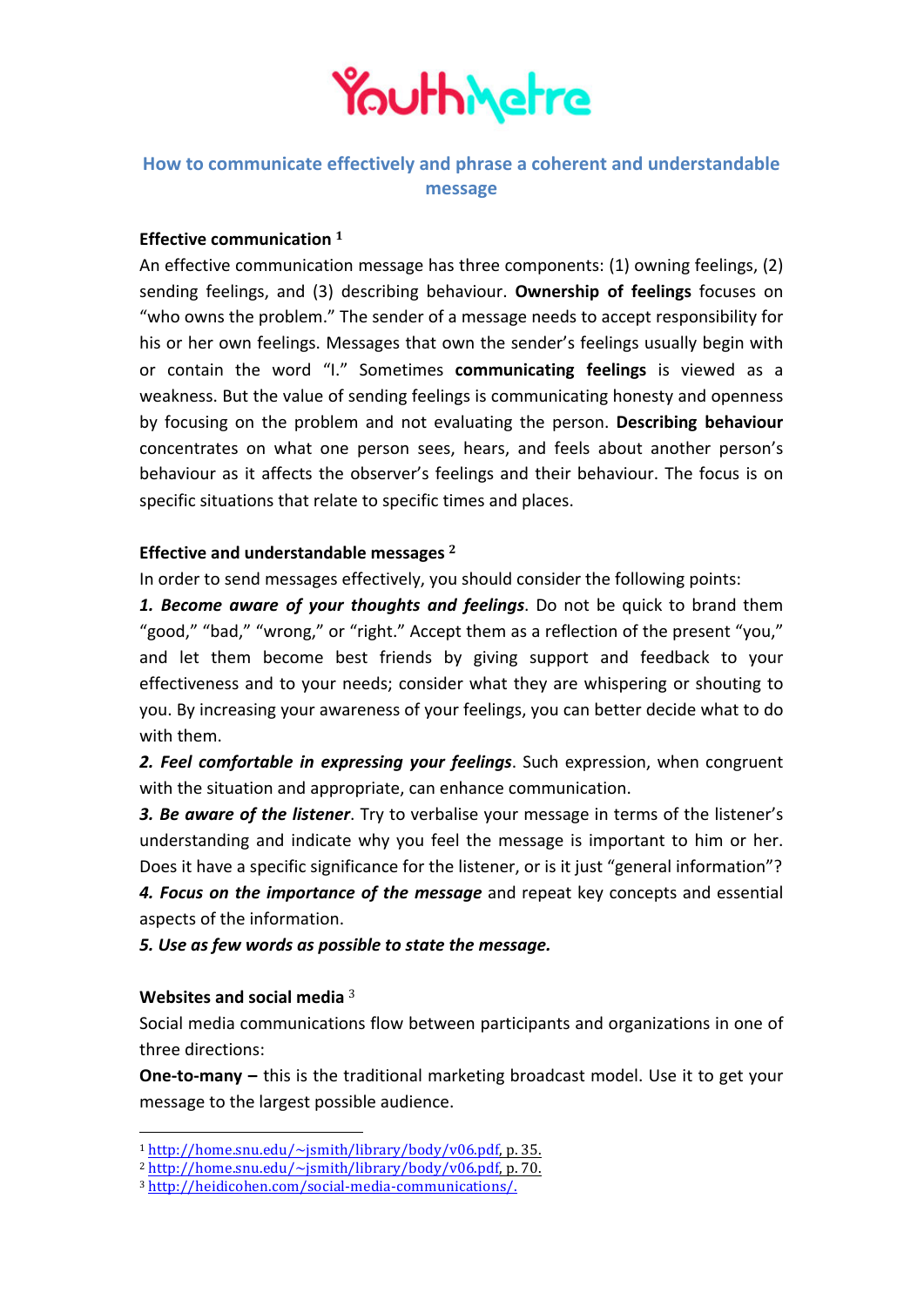

# **How to communicate effectively and phrase a coherent and understandable message**

## **Effective communication** <sup>1</sup>

An effective communication message has three components:  $(1)$  owning feelings,  $(2)$ sending feelings, and (3) describing behaviour. **Ownership of feelings** focuses on "who owns the problem." The sender of a message needs to accept responsibility for his or her own feelings. Messages that own the sender's feelings usually begin with or contain the word "I." Sometimes **communicating feelings** is viewed as a weakness. But the value of sending feelings is communicating honesty and openness by focusing on the problem and not evaluating the person. Describing behaviour concentrates on what one person sees, hears, and feels about another person's behaviour as it affects the observer's feelings and their behaviour. The focus is on specific situations that relate to specific times and places.

### Effective and understandable messages <sup>2</sup>

In order to send messages effectively, you should consider the following points:

**1. Become aware of your thoughts and feelings**. Do not be quick to brand them "good," "bad," "wrong," or "right." Accept them as a reflection of the present "you," and let them become best friends by giving support and feedback to your effectiveness and to your needs; consider what they are whispering or shouting to you. By increasing your awareness of your feelings, you can better decide what to do with them.

**2.** Feel comfortable in expressing your feelings. Such expression, when congruent with the situation and appropriate, can enhance communication.

**3. Be aware of the listener**. Try to verbalise your message in terms of the listener's understanding and indicate why you feel the message is important to him or her. Does it have a specific significance for the listener, or is it just "general information"? **4. Focus on the importance of the message** and repeat key concepts and essential aspects of the information.

*5. Use as few words as possible to state the message.*

#### **Websites and social media**<sup>3</sup>

 

Social media communications flow between participants and organizations in one of three directions:

**One-to-many** – this is the traditional marketing broadcast model. Use it to get your message to the largest possible audience.

<sup>1</sup> http://home.snu.edu/~jsmith/library/body/v06.pdf, p. 35.

 $2 http://home.snu.edu/~jsmith/library/body/v06.pdf, p. 70.$ 

<sup>3</sup> http://heidicohen.com/social-media-communications/.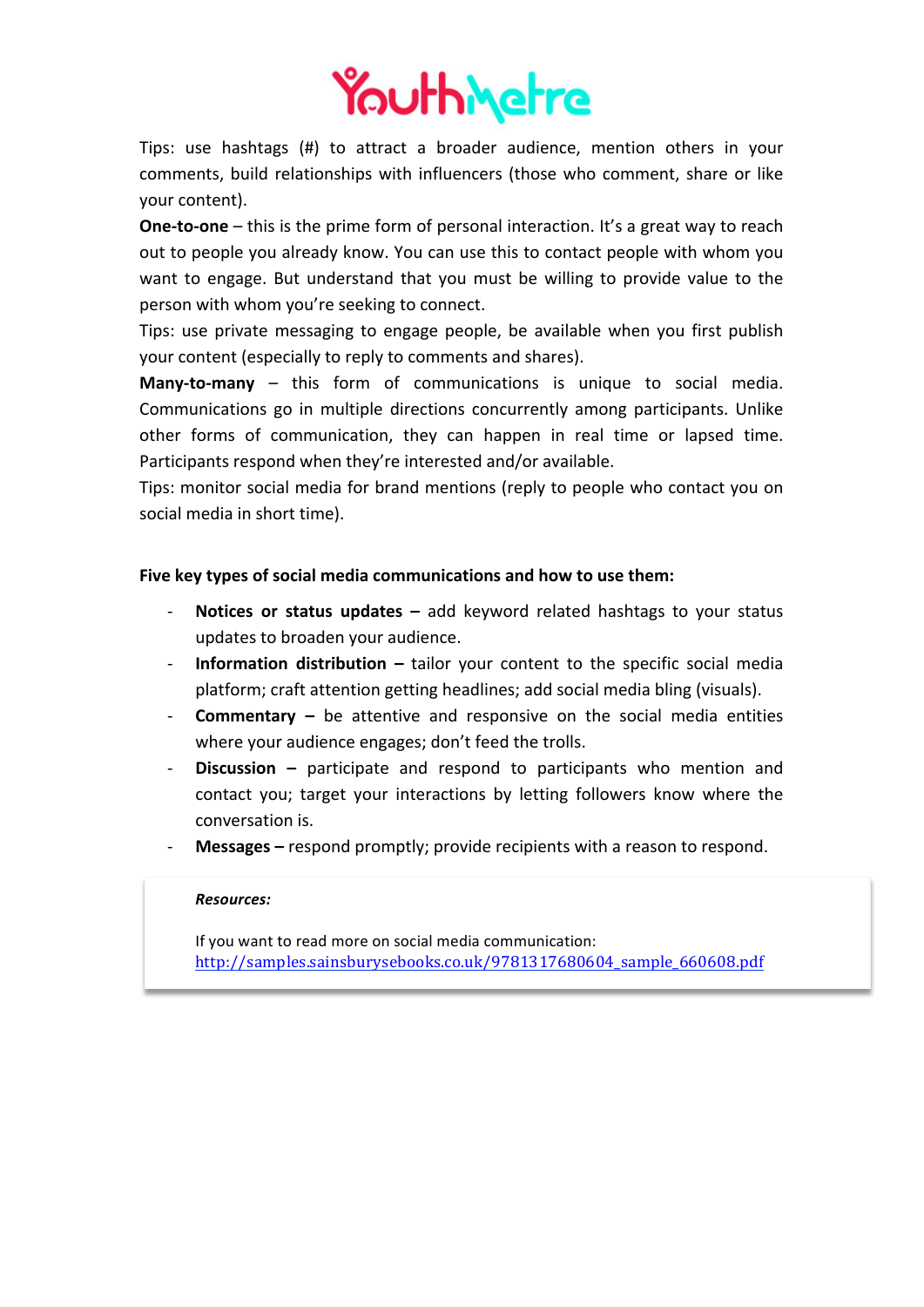

Tips: use hashtags (#) to attract a broader audience, mention others in your comments, build relationships with influencers (those who comment, share or like your content).

**One-to-one** – this is the prime form of personal interaction. It's a great way to reach out to people you already know. You can use this to contact people with whom you want to engage. But understand that you must be willing to provide value to the person with whom you're seeking to connect.

Tips: use private messaging to engage people, be available when you first publish your content (especially to reply to comments and shares).

**Many-to-many** – this form of communications is unique to social media. Communications go in multiple directions concurrently among participants. Unlike other forms of communication, they can happen in real time or lapsed time. Participants respond when they're interested and/or available.

Tips: monitor social media for brand mentions (reply to people who contact you on social media in short time).

## Five key types of social media communications and how to use them:

- **Notices or status updates –** add keyword related hashtags to your status updates to broaden your audience.
- **Information distribution** tailor your content to the specific social media platform; craft attention getting headlines; add social media bling (visuals).
- **Commentary** be attentive and responsive on the social media entities where your audience engages; don't feed the trolls.
- **Discussion** participate and respond to participants who mention and contact you; target your interactions by letting followers know where the conversation is.
- Messages respond promptly; provide recipients with a reason to respond.

#### *Resources:*

If you want to read more on social media communication: http://samples.sainsburysebooks.co.uk/9781317680604\_sample\_660608.pdf